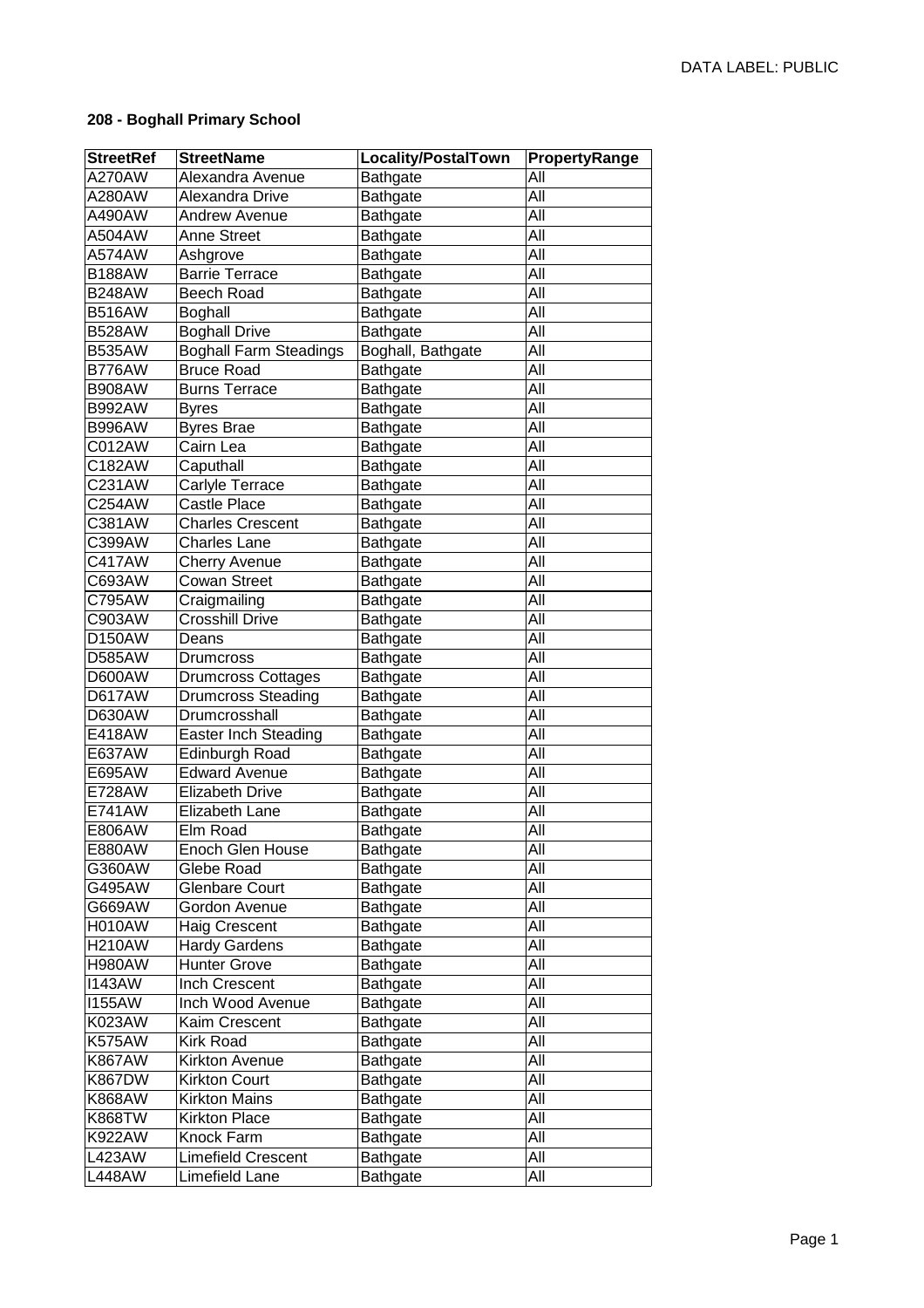## **208 - Boghall Primary School**

| <b>StreetRef</b> | <b>StreetName</b>                      | Locality/PostalTown         | PropertyRange    |
|------------------|----------------------------------------|-----------------------------|------------------|
| A270AW           | Alexandra Avenue                       | <b>Bathgate</b>             | All              |
| A280AW           | Alexandra Drive                        | <b>Bathgate</b>             | All              |
| A490AW           | <b>Andrew Avenue</b>                   | <b>Bathgate</b>             | All              |
| A504AW           | <b>Anne Street</b>                     | <b>Bathgate</b>             | All              |
| A574AW           | Ashgrove                               | <b>Bathgate</b>             | $\overline{All}$ |
| <b>B188AW</b>    | <b>Barrie Terrace</b>                  | Bathgate                    | All              |
| <b>B248AW</b>    | <b>Beech Road</b>                      | <b>Bathgate</b>             | All              |
| <b>B516AW</b>    | <b>Boghall</b>                         | <b>Bathgate</b>             | All              |
| <b>B528AW</b>    | <b>Boghall Drive</b>                   | <b>Bathgate</b>             | All              |
| <b>B535AW</b>    | <b>Boghall Farm Steadings</b>          | Boghall, Bathgate           | All              |
| <b>B776AW</b>    | <b>Bruce Road</b>                      | <b>Bathgate</b>             | All              |
| <b>B908AW</b>    | <b>Burns Terrace</b>                   | <b>Bathgate</b>             | All              |
| <b>B992AW</b>    | <b>Byres</b>                           | <b>Bathgate</b>             | All              |
| B996AW           | <b>Byres Brae</b>                      | <b>Bathgate</b>             | All              |
| C012AW           | Cairn Lea                              | <b>Bathgate</b>             | All              |
| C182AW           | Caputhall                              | <b>Bathgate</b>             | All              |
| C231AW           | Carlyle Terrace                        | <b>Bathgate</b>             | All              |
| C254AW           | <b>Castle Place</b>                    | Bathgate                    | All              |
| C381AW           | <b>Charles Crescent</b>                | <b>Bathgate</b>             | All              |
| C399AW           | <b>Charles Lane</b>                    | <b>Bathgate</b>             | All              |
| C417AW           | <b>Cherry Avenue</b>                   | <b>Bathgate</b>             | All              |
| C693AW           | <b>Cowan Street</b>                    | Bathgate                    | All              |
| C795AW           | Craigmailing                           | Bathgate                    | All              |
| C903AW           | <b>Crosshill Drive</b>                 | <b>Bathgate</b>             | All              |
| D150AW           | Deans                                  | <b>Bathgate</b>             | All              |
| D585AW           |                                        | <b>Bathgate</b>             | All              |
| D600AW           | Drumcross                              |                             | All              |
|                  | <b>Drumcross Cottages</b>              | <b>Bathgate</b>             | All              |
| <b>D617AW</b>    | <b>Drumcross Steading</b>              | <b>Bathgate</b>             | All              |
| D630AW           | Drumcrosshall                          | <b>Bathgate</b>             | All              |
| E418AW           | <b>Easter Inch Steading</b>            | <b>Bathgate</b>             | All              |
| E637AW           | Edinburgh Road<br><b>Edward Avenue</b> | <b>Bathgate</b>             | All              |
| E695AW<br>E728AW | <b>Elizabeth Drive</b>                 | <b>Bathgate</b><br>Bathgate | All              |
|                  | Elizabeth Lane                         |                             | All              |
| E741AW           | Elm Road                               | <b>Bathgate</b>             | All              |
| E806AW           |                                        | <b>Bathgate</b>             |                  |
| E880AW           | Enoch Glen House                       | <b>Bathgate</b>             | All              |
| G360AW           | Glebe Road                             | <b>Bathgate</b>             | All              |
| G495AW           | <b>Glenbare Court</b>                  | Bathgate                    | All              |
| G669AW           | Gordon Avenue<br>Haig Crescent         | Bathgate                    | All              |
| <b>H010AW</b>    |                                        | Bathgate                    | All              |
| <b>H210AW</b>    | <b>Hardy Gardens</b>                   | <b>Bathgate</b>             | All              |
| <b>H980AW</b>    | <b>Hunter Grove</b>                    | Bathgate                    | All              |
| <b>I143AW</b>    | <b>Inch Crescent</b>                   | Bathgate                    | All              |
| <b>I155AW</b>    | Inch Wood Avenue                       | Bathgate                    | All              |
| K023AW           | Kaim Crescent                          | Bathgate                    | All              |
| <b>K575AW</b>    | Kirk Road                              | Bathgate                    | All              |
| K867AW           | Kirkton Avenue                         | <b>Bathgate</b>             | All              |
| <b>K867DW</b>    | <b>Kirkton Court</b>                   | Bathgate                    | All              |
| K868AW           | <b>Kirkton Mains</b>                   | Bathgate                    | All              |
| K868TW           | <b>Kirkton Place</b>                   | Bathgate                    | All              |
| K922AW           | Knock Farm                             | Bathgate                    | All              |
| L423AW           | <b>Limefield Crescent</b>              | Bathgate                    | All              |
| L448AW           | Limefield Lane                         | Bathgate                    | All              |